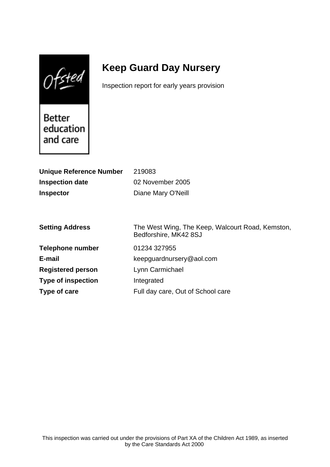$0$ fsted

# **Keep Guard Day Nursery**

Inspection report for early years provision

Better education and care

| <b>Unique Reference Number</b> | 219083                                           |
|--------------------------------|--------------------------------------------------|
| <b>Inspection date</b>         | 02 November 2005                                 |
| <b>Inspector</b>               | Diane Mary O'Neill                               |
|                                |                                                  |
|                                |                                                  |
| <b>Setting Address</b>         | The West Wing, The Keep, Walcourt Road, Kemston, |
|                                | Bedforshire, MK42 8SJ                            |
| <b>Telephone number</b>        | 01234 327955                                     |
| E-mail                         | keepguardnursery@aol.com                         |
| <b>Registered person</b>       | Lynn Carmichael                                  |
| <b>Type of inspection</b>      | Integrated                                       |
| Type of care                   | Full day care, Out of School care                |
|                                |                                                  |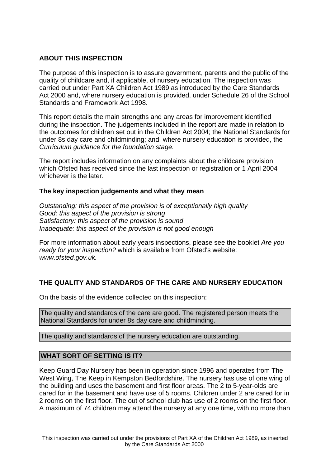## **ABOUT THIS INSPECTION**

The purpose of this inspection is to assure government, parents and the public of the quality of childcare and, if applicable, of nursery education. The inspection was carried out under Part XA Children Act 1989 as introduced by the Care Standards Act 2000 and, where nursery education is provided, under Schedule 26 of the School Standards and Framework Act 1998.

This report details the main strengths and any areas for improvement identified during the inspection. The judgements included in the report are made in relation to the outcomes for children set out in the Children Act 2004; the National Standards for under 8s day care and childminding; and, where nursery education is provided, the Curriculum guidance for the foundation stage.

The report includes information on any complaints about the childcare provision which Ofsted has received since the last inspection or registration or 1 April 2004 whichever is the later.

### **The key inspection judgements and what they mean**

Outstanding: this aspect of the provision is of exceptionally high quality Good: this aspect of the provision is strong Satisfactory: this aspect of the provision is sound Inadequate: this aspect of the provision is not good enough

For more information about early years inspections, please see the booklet Are you ready for your inspection? which is available from Ofsted's website: www.ofsted.gov.uk.

# **THE QUALITY AND STANDARDS OF THE CARE AND NURSERY EDUCATION**

On the basis of the evidence collected on this inspection:

The quality and standards of the care are good. The registered person meets the National Standards for under 8s day care and childminding.

The quality and standards of the nursery education are outstanding.

### **WHAT SORT OF SETTING IS IT?**

Keep Guard Day Nursery has been in operation since 1996 and operates from The West Wing, The Keep in Kempston Bedfordshire. The nursery has use of one wing of the building and uses the basement and first floor areas. The 2 to 5-year-olds are cared for in the basement and have use of 5 rooms. Children under 2 are cared for in 2 rooms on the first floor. The out of school club has use of 2 rooms on the first floor. A maximum of 74 children may attend the nursery at any one time, with no more than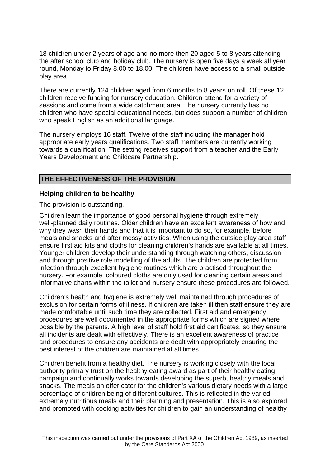18 children under 2 years of age and no more then 20 aged 5 to 8 years attending the after school club and holiday club. The nursery is open five days a week all year round, Monday to Friday 8.00 to 18.00. The children have access to a small outside play area.

There are currently 124 children aged from 6 months to 8 years on roll. Of these 12 children receive funding for nursery education. Children attend for a variety of sessions and come from a wide catchment area. The nursery currently has no children who have special educational needs, but does support a number of children who speak English as an additional language.

The nursery employs 16 staff. Twelve of the staff including the manager hold appropriate early years qualifications. Two staff members are currently working towards a qualification. The setting receives support from a teacher and the Early Years Development and Childcare Partnership.

## **THE EFFECTIVENESS OF THE PROVISION**

#### **Helping children to be healthy**

The provision is outstanding.

Children learn the importance of good personal hygiene through extremely well-planned daily routines. Older children have an excellent awareness of how and why they wash their hands and that it is important to do so, for example, before meals and snacks and after messy activities. When using the outside play area staff ensure first aid kits and cloths for cleaning children's hands are available at all times. Younger children develop their understanding through watching others, discussion and through positive role modelling of the adults. The children are protected from infection through excellent hygiene routines which are practised throughout the nursery. For example, coloured cloths are only used for cleaning certain areas and informative charts within the toilet and nursery ensure these procedures are followed.

Children's health and hygiene is extremely well maintained through procedures of exclusion for certain forms of illness. If children are taken ill then staff ensure they are made comfortable until such time they are collected. First aid and emergency procedures are well documented in the appropriate forms which are signed where possible by the parents. A high level of staff hold first aid certificates, so they ensure all incidents are dealt with effectively. There is an excellent awareness of practice and procedures to ensure any accidents are dealt with appropriately ensuring the best interest of the children are maintained at all times.

Children benefit from a healthy diet. The nursery is working closely with the local authority primary trust on the healthy eating award as part of their healthy eating campaign and continually works towards developing the superb, healthy meals and snacks. The meals on offer cater for the children's various dietary needs with a large percentage of children being of different cultures. This is reflected in the varied, extremely nutritious meals and their planning and presentation. This is also explored and promoted with cooking activities for children to gain an understanding of healthy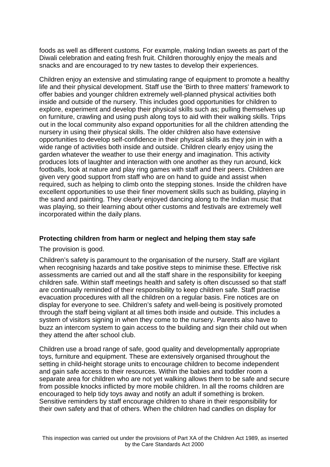foods as well as different customs. For example, making Indian sweets as part of the Diwali celebration and eating fresh fruit. Children thoroughly enjoy the meals and snacks and are encouraged to try new tastes to develop their experiences.

Children enjoy an extensive and stimulating range of equipment to promote a healthy life and their physical development. Staff use the 'Birth to three matters' framework to offer babies and younger children extremely well-planned physical activities both inside and outside of the nursery. This includes good opportunities for children to explore, experiment and develop their physical skills such as; pulling themselves up on furniture, crawling and using push along toys to aid with their walking skills. Trips out in the local community also expand opportunities for all the children attending the nursery in using their physical skills. The older children also have extensive opportunities to develop self-confidence in their physical skills as they join in with a wide range of activities both inside and outside. Children clearly enjoy using the garden whatever the weather to use their energy and imagination. This activity produces lots of laughter and interaction with one another as they run around, kick footballs, look at nature and play ring games with staff and their peers. Children are given very good support from staff who are on hand to guide and assist when required, such as helping to climb onto the stepping stones. Inside the children have excellent opportunities to use their finer movement skills such as building, playing in the sand and painting. They clearly enjoyed dancing along to the Indian music that was playing, so their learning about other customs and festivals are extremely well incorporated within the daily plans.

### **Protecting children from harm or neglect and helping them stay safe**

The provision is good.

Children's safety is paramount to the organisation of the nursery. Staff are vigilant when recognising hazards and take positive steps to minimise these. Effective risk assessments are carried out and all the staff share in the responsibility for keeping children safe. Within staff meetings health and safety is often discussed so that staff are continually reminded of their responsibility to keep children safe. Staff practise evacuation procedures with all the children on a regular basis. Fire notices are on display for everyone to see. Children's safety and well-being is positively promoted through the staff being vigilant at all times both inside and outside. This includes a system of visitors signing in when they come to the nursery. Parents also have to buzz an intercom system to gain access to the building and sign their child out when they attend the after school club.

Children use a broad range of safe, good quality and developmentally appropriate toys, furniture and equipment. These are extensively organised throughout the setting in child-height storage units to encourage children to become independent and gain safe access to their resources. Within the babies and toddler room a separate area for children who are not yet walking allows them to be safe and secure from possible knocks inflicted by more mobile children. In all the rooms children are encouraged to help tidy toys away and notify an adult if something is broken. Sensitive reminders by staff encourage children to share in their responsibility for their own safety and that of others. When the children had candles on display for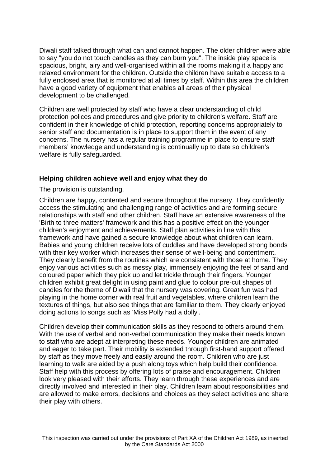Diwali staff talked through what can and cannot happen. The older children were able to say "you do not touch candles as they can burn you". The inside play space is spacious, bright, airy and well-organised within all the rooms making it a happy and relaxed environment for the children. Outside the children have suitable access to a fully enclosed area that is monitored at all times by staff. Within this area the children have a good variety of equipment that enables all areas of their physical development to be challenged.

Children are well protected by staff who have a clear understanding of child protection polices and procedures and give priority to children's welfare. Staff are confident in their knowledge of child protection, reporting concerns appropriately to senior staff and documentation is in place to support them in the event of any concerns. The nursery has a regular training programme in place to ensure staff members' knowledge and understanding is continually up to date so children's welfare is fully safeguarded.

### **Helping children achieve well and enjoy what they do**

The provision is outstanding.

Children are happy, contented and secure throughout the nursery. They confidently access the stimulating and challenging range of activities and are forming secure relationships with staff and other children. Staff have an extensive awareness of the 'Birth to three matters' framework and this has a positive effect on the younger children's enjoyment and achievements. Staff plan activities in line with this framework and have gained a secure knowledge about what children can learn. Babies and young children receive lots of cuddles and have developed strong bonds with their key worker which increases their sense of well-being and contentment. They clearly benefit from the routines which are consistent with those at home. They enjoy various activities such as messy play, immensely enjoying the feel of sand and coloured paper which they pick up and let trickle through their fingers. Younger children exhibit great delight in using paint and glue to colour pre-cut shapes of candles for the theme of Diwali that the nursery was covering. Great fun was had playing in the home corner with real fruit and vegetables, where children learn the textures of things, but also see things that are familiar to them. They clearly enjoyed doing actions to songs such as 'Miss Polly had a dolly'.

Children develop their communication skills as they respond to others around them. With the use of verbal and non-verbal communication they make their needs known to staff who are adept at interpreting these needs. Younger children are animated and eager to take part. Their mobility is extended through first-hand support offered by staff as they move freely and easily around the room. Children who are just learning to walk are aided by a push along toys which help build their confidence. Staff help with this process by offering lots of praise and encouragement. Children look very pleased with their efforts. They learn through these experiences and are directly involved and interested in their play. Children learn about responsibilities and are allowed to make errors, decisions and choices as they select activities and share their play with others.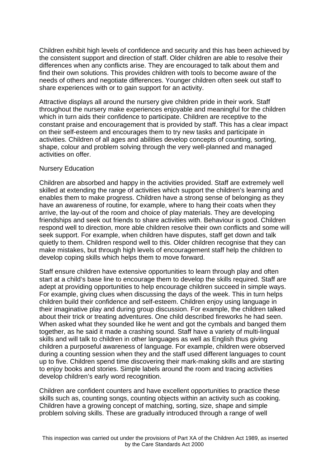Children exhibit high levels of confidence and security and this has been achieved by the consistent support and direction of staff. Older children are able to resolve their differences when any conflicts arise. They are encouraged to talk about them and find their own solutions. This provides children with tools to become aware of the needs of others and negotiate differences. Younger children often seek out staff to share experiences with or to gain support for an activity.

Attractive displays all around the nursery give children pride in their work. Staff throughout the nursery make experiences enjoyable and meaningful for the children which in turn aids their confidence to participate. Children are receptive to the constant praise and encouragement that is provided by staff. This has a clear impact on their self-esteem and encourages them to try new tasks and participate in activities. Children of all ages and abilities develop concepts of counting, sorting, shape, colour and problem solving through the very well-planned and managed activities on offer.

#### Nursery Education

Children are absorbed and happy in the activities provided. Staff are extremely well skilled at extending the range of activities which support the children's learning and enables them to make progress. Children have a strong sense of belonging as they have an awareness of routine, for example, where to hang their coats when they arrive, the lay-out of the room and choice of play materials. They are developing friendships and seek out friends to share activities with. Behaviour is good. Children respond well to direction, more able children resolve their own conflicts and some will seek support. For example, when children have disputes, staff get down and talk quietly to them. Children respond well to this. Older children recognise that they can make mistakes, but through high levels of encouragement staff help the children to develop coping skills which helps them to move forward.

Staff ensure children have extensive opportunities to learn through play and often start at a child's base line to encourage them to develop the skills required. Staff are adept at providing opportunities to help encourage children succeed in simple ways. For example, giving clues when discussing the days of the week. This in turn helps children build their confidence and self-esteem. Children enjoy using language in their imaginative play and during group discussion. For example, the children talked about their trick or treating adventures. One child described fireworks he had seen. When asked what they sounded like he went and got the cymbals and banged them together, as he said it made a crashing sound. Staff have a variety of multi-lingual skills and will talk to children in other languages as well as English thus giving children a purposeful awareness of language. For example, children were observed during a counting session when they and the staff used different languages to count up to five. Children spend time discovering their mark-making skills and are starting to enjoy books and stories. Simple labels around the room and tracing activities develop children's early word recognition.

Children are confident counters and have excellent opportunities to practice these skills such as, counting songs, counting objects within an activity such as cooking. Children have a growing concept of matching, sorting, size, shape and simple problem solving skills. These are gradually introduced through a range of well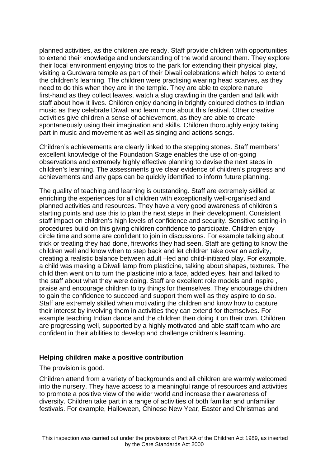planned activities, as the children are ready. Staff provide children with opportunities to extend their knowledge and understanding of the world around them. They explore their local environment enjoying trips to the park for extending their physical play, visiting a Gurdwara temple as part of their Diwali celebrations which helps to extend the children's learning. The children were practising wearing head scarves, as they need to do this when they are in the temple. They are able to explore nature first-hand as they collect leaves, watch a slug crawling in the garden and talk with staff about how it lives. Children enjoy dancing in brightly coloured clothes to Indian music as they celebrate Diwali and learn more about this festival. Other creative activities give children a sense of achievement, as they are able to create spontaneously using their imagination and skills. Children thoroughly enjoy taking part in music and movement as well as singing and actions songs.

Children's achievements are clearly linked to the stepping stones. Staff members' excellent knowledge of the Foundation Stage enables the use of on-going observations and extremely highly effective planning to devise the next steps in children's learning. The assessments give clear evidence of children's progress and achievements and any gaps can be quickly identified to inform future planning.

The quality of teaching and learning is outstanding. Staff are extremely skilled at enriching the experiences for all children with exceptionally well-organised and planned activities and resources. They have a very good awareness of children's starting points and use this to plan the next steps in their development. Consistent staff impact on children's high levels of confidence and security. Sensitive settling-in procedures build on this giving children confidence to participate. Children enjoy circle time and some are confident to join in discussions. For example talking about trick or treating they had done, fireworks they had seen. Staff are getting to know the children well and know when to step back and let children take over an activity, creating a realistic balance between adult –led and child-initiated play. For example, a child was making a Diwali lamp from plasticine, talking about shapes, textures. The child then went on to turn the plasticine into a face, added eyes, hair and talked to the staff about what they were doing. Staff are excellent role models and inspire , praise and encourage children to try things for themselves. They encourage children to gain the confidence to succeed and support them well as they aspire to do so. Staff are extremely skilled when motivating the children and know how to capture their interest by involving them in activities they can extend for themselves. For example teaching Indian dance and the children then doing it on their own. Children are progressing well, supported by a highly motivated and able staff team who are confident in their abilities to develop and challenge children's learning.

### **Helping children make a positive contribution**

#### The provision is good.

Children attend from a variety of backgrounds and all children are warmly welcomed into the nursery. They have access to a meaningful range of resources and activities to promote a positive view of the wider world and increase their awareness of diversity. Children take part in a range of activities of both familiar and unfamiliar festivals. For example, Halloween, Chinese New Year, Easter and Christmas and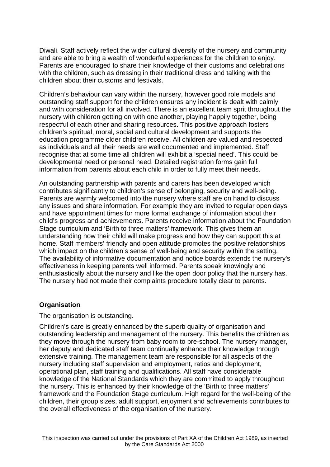Diwali. Staff actively reflect the wider cultural diversity of the nursery and community and are able to bring a wealth of wonderful experiences for the children to enjoy. Parents are encouraged to share their knowledge of their customs and celebrations with the children, such as dressing in their traditional dress and talking with the children about their customs and festivals.

Children's behaviour can vary within the nursery, however good role models and outstanding staff support for the children ensures any incident is dealt with calmly and with consideration for all involved. There is an excellent team sprit throughout the nursery with children getting on with one another, playing happily together, being respectful of each other and sharing resources. This positive approach fosters children's spiritual, moral, social and cultural development and supports the education programme older children receive. All children are valued and respected as individuals and all their needs are well documented and implemented. Staff recognise that at some time all children will exhibit a 'special need'. This could be developmental need or personal need. Detailed registration forms gain full information from parents about each child in order to fully meet their needs.

An outstanding partnership with parents and carers has been developed which contributes significantly to children's sense of belonging, security and well-being. Parents are warmly welcomed into the nursery where staff are on hand to discuss any issues and share information. For example they are invited to regular open days and have appointment times for more formal exchange of information about their child's progress and achievements. Parents receive information about the Foundation Stage curriculum and 'Birth to three matters' framework. This gives them an understanding how their child will make progress and how they can support this at home. Staff members' friendly and open attitude promotes the positive relationships which impact on the children's sense of well-being and security within the setting. The availability of informative documentation and notice boards extends the nursery's effectiveness in keeping parents well informed. Parents speak knowingly and enthusiastically about the nursery and like the open door policy that the nursery has. The nursery had not made their complaints procedure totally clear to parents.

### **Organisation**

The organisation is outstanding.

Children's care is greatly enhanced by the superb quality of organisation and outstanding leadership and management of the nursery. This benefits the children as they move through the nursery from baby room to pre-school. The nursery manager, her deputy and dedicated staff team continually enhance their knowledge through extensive training. The management team are responsible for all aspects of the nursery including staff supervision and employment, ratios and deployment, operational plan, staff training and qualifications. All staff have considerable knowledge of the National Standards which they are committed to apply throughout the nursery. This is enhanced by their knowledge of the 'Birth to three matters' framework and the Foundation Stage curriculum. High regard for the well-being of the children, their group sizes, adult support, enjoyment and achievements contributes to the overall effectiveness of the organisation of the nursery.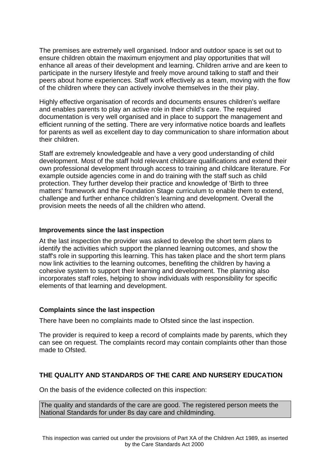The premises are extremely well organised. Indoor and outdoor space is set out to ensure children obtain the maximum enjoyment and play opportunities that will enhance all areas of their development and learning. Children arrive and are keen to participate in the nursery lifestyle and freely move around talking to staff and their peers about home experiences. Staff work effectively as a team, moving with the flow of the children where they can actively involve themselves in the their play.

Highly effective organisation of records and documents ensures children's welfare and enables parents to play an active role in their child's care. The required documentation is very well organised and in place to support the management and efficient running of the setting. There are very informative notice boards and leaflets for parents as well as excellent day to day communication to share information about their children.

Staff are extremely knowledgeable and have a very good understanding of child development. Most of the staff hold relevant childcare qualifications and extend their own professional development through access to training and childcare literature. For example outside agencies come in and do training with the staff such as child protection. They further develop their practice and knowledge of 'Birth to three matters' framework and the Foundation Stage curriculum to enable them to extend, challenge and further enhance children's learning and development. Overall the provision meets the needs of all the children who attend.

## **Improvements since the last inspection**

At the last inspection the provider was asked to develop the short term plans to identify the activities which support the planned learning outcomes, and show the staff's role in supporting this learning. This has taken place and the short term plans now link activities to the learning outcomes, benefiting the children by having a cohesive system to support their learning and development. The planning also incorporates staff roles, helping to show individuals with responsibility for specific elements of that learning and development.

### **Complaints since the last inspection**

There have been no complaints made to Ofsted since the last inspection.

The provider is required to keep a record of complaints made by parents, which they can see on request. The complaints record may contain complaints other than those made to Ofsted.

# **THE QUALITY AND STANDARDS OF THE CARE AND NURSERY EDUCATION**

On the basis of the evidence collected on this inspection:

The quality and standards of the care are good. The registered person meets the National Standards for under 8s day care and childminding.